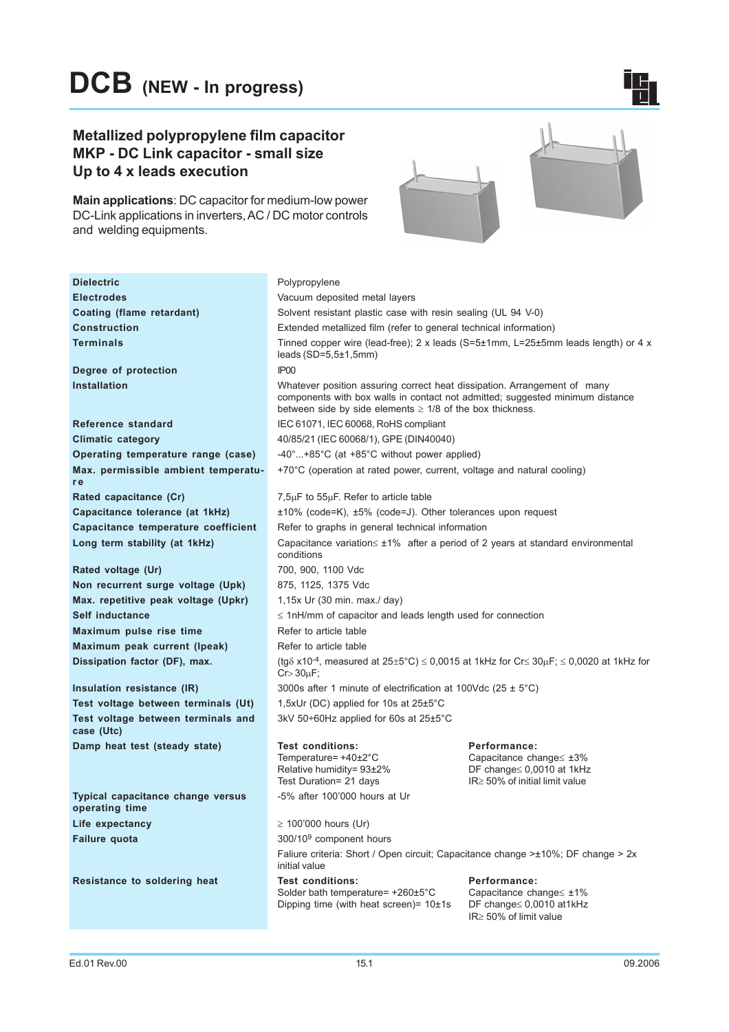## Metallized polypropylene film capacitor MKP - DC Link capacitor - small size Up to 4 x leads execution

Main applications: DC capacitor for medium-low power DC-Link applications in inverters, AC / DC motor controls and welding equipments.



 $\mathbf{L}_1$ 

| <b>Dielectric</b>                                   | Polypropylene                                                                                                                                                                                                               |                                                                                                                        |  |  |  |  |  |
|-----------------------------------------------------|-----------------------------------------------------------------------------------------------------------------------------------------------------------------------------------------------------------------------------|------------------------------------------------------------------------------------------------------------------------|--|--|--|--|--|
| <b>Electrodes</b>                                   | Vacuum deposited metal layers                                                                                                                                                                                               |                                                                                                                        |  |  |  |  |  |
| Coating (flame retardant)                           | Solvent resistant plastic case with resin sealing (UL 94 V-0)                                                                                                                                                               |                                                                                                                        |  |  |  |  |  |
| <b>Construction</b>                                 | Extended metallized film (refer to general technical information)                                                                                                                                                           |                                                                                                                        |  |  |  |  |  |
| <b>Terminals</b>                                    | Tinned copper wire (lead-free); 2 x leads (S=5 $\pm$ 1mm, L=25 $\pm$ 5mm leads length) or 4 x                                                                                                                               |                                                                                                                        |  |  |  |  |  |
|                                                     | leads $(SD=5,5\pm1,5mm)$                                                                                                                                                                                                    |                                                                                                                        |  |  |  |  |  |
| Degree of protection                                | IP <sub>00</sub>                                                                                                                                                                                                            |                                                                                                                        |  |  |  |  |  |
| <b>Installation</b>                                 | Whatever position assuring correct heat dissipation. Arrangement of many<br>components with box walls in contact not admitted; suggested minimum distance<br>between side by side elements $\geq$ 1/8 of the box thickness. |                                                                                                                        |  |  |  |  |  |
| Reference standard                                  | IEC 61071, IEC 60068, RoHS compliant                                                                                                                                                                                        |                                                                                                                        |  |  |  |  |  |
| <b>Climatic category</b>                            | 40/85/21 (IEC 60068/1), GPE (DIN40040)                                                                                                                                                                                      |                                                                                                                        |  |  |  |  |  |
| Operating temperature range (case)                  | $-40^{\circ}$ +85 $^{\circ}$ C (at +85 $^{\circ}$ C without power applied)                                                                                                                                                  |                                                                                                                        |  |  |  |  |  |
| Max. permissible ambient temperatu-<br>r e          | +70°C (operation at rated power, current, voltage and natural cooling)                                                                                                                                                      |                                                                                                                        |  |  |  |  |  |
| Rated capacitance (Cr)                              | $7,5\mu$ F to $55\mu$ F. Refer to article table                                                                                                                                                                             |                                                                                                                        |  |  |  |  |  |
| Capacitance tolerance (at 1kHz)                     | $±10\%$ (code=K), $±5\%$ (code=J). Other tolerances upon request                                                                                                                                                            |                                                                                                                        |  |  |  |  |  |
| Capacitance temperature coefficient                 | Refer to graphs in general technical information                                                                                                                                                                            |                                                                                                                        |  |  |  |  |  |
| Long term stability (at 1kHz)                       | Capacitance variation $\leq \pm 1\%$ after a period of 2 years at standard environmental<br>conditions                                                                                                                      |                                                                                                                        |  |  |  |  |  |
| Rated voltage (Ur)                                  | 700, 900, 1100 Vdc                                                                                                                                                                                                          |                                                                                                                        |  |  |  |  |  |
| Non recurrent surge voltage (Upk)                   | 875, 1125, 1375 Vdc                                                                                                                                                                                                         |                                                                                                                        |  |  |  |  |  |
| Max. repetitive peak voltage (Upkr)                 | 1,15x Ur (30 min. max./ day)                                                                                                                                                                                                |                                                                                                                        |  |  |  |  |  |
| <b>Self inductance</b>                              | $\leq$ 1nH/mm of capacitor and leads length used for connection                                                                                                                                                             |                                                                                                                        |  |  |  |  |  |
| Maximum pulse rise time                             | Refer to article table                                                                                                                                                                                                      |                                                                                                                        |  |  |  |  |  |
| Maximum peak current (Ipeak)                        | Refer to article table                                                                                                                                                                                                      |                                                                                                                        |  |  |  |  |  |
| Dissipation factor (DF), max.                       | (tg $\delta$ x10 <sup>-4</sup> , measured at 25±5°C) $\leq$ 0,0015 at 1kHz for Cr $\leq$ 30 $\mu$ F; $\leq$ 0,0020 at 1kHz for<br>$Cr > 30 \mu F$ ;                                                                         |                                                                                                                        |  |  |  |  |  |
| Insulation resistance (IR)                          | 3000s after 1 minute of electrification at 100Vdc (25 $\pm$ 5°C)                                                                                                                                                            |                                                                                                                        |  |  |  |  |  |
| Test voltage between terminals (Ut)                 | 1,5xUr (DC) applied for 10s at 25±5°C                                                                                                                                                                                       |                                                                                                                        |  |  |  |  |  |
| Test voltage between terminals and<br>case (Utc)    | $3kV$ 50÷60Hz applied for 60s at 25 $\pm$ 5°C                                                                                                                                                                               |                                                                                                                        |  |  |  |  |  |
| Damp heat test (steady state)                       | <b>Test conditions:</b><br>Temperature= $+40\pm2^{\circ}C$<br>Relative humidity= 93±2%<br>Test Duration= 21 days                                                                                                            | Performance:<br>Capacitance change $\leq \pm 3\%$<br>DF change $\leq 0,0010$ at 1kHz<br>IR≥ 50% of initial limit value |  |  |  |  |  |
| Typical capacitance change versus<br>operating time | -5% after 100'000 hours at Ur                                                                                                                                                                                               |                                                                                                                        |  |  |  |  |  |
| Life expectancy                                     | $\geq$ 100'000 hours (Ur)                                                                                                                                                                                                   |                                                                                                                        |  |  |  |  |  |
| Failure quota                                       | 300/10 <sup>9</sup> component hours                                                                                                                                                                                         |                                                                                                                        |  |  |  |  |  |
|                                                     | Faliure criteria: Short / Open circuit: Capacitance change >±10%; DF change > 2x<br>initial value                                                                                                                           |                                                                                                                        |  |  |  |  |  |
| Resistance to soldering heat                        | <b>Test conditions:</b><br>Performance:<br>Solder bath temperature= +260±5°C<br>Capacitance change $\leq \pm 1\%$<br>Dipping time (with heat screen) = $10±1s$<br>DF change≤ 0,0010 at1kHz<br>IR≥ 50% of limit value        |                                                                                                                        |  |  |  |  |  |